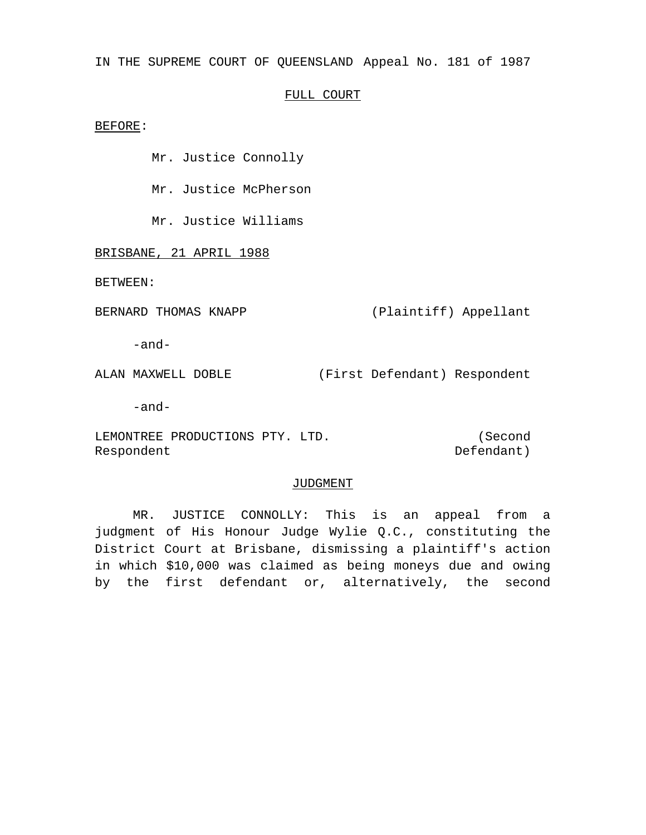IN THE SUPREME COURT OF QUEENSLAND Appeal No. 181 of 1987

## FULL COURT

BEFORE:

Mr. Justice Connolly

Mr. Justice McPherson

Mr. Justice Williams

BRISBANE, 21 APRIL 1988

BETWEEN:

BERNARD THOMAS KNAPP (Plaintiff) Appellant

-and-

ALAN MAXWELL DOBLE (First Defendant) Respondent

-and-

LEMONTREE PRODUCTIONS PTY. LTD. Respondent (Second Defendant)

## JUDGMENT

MR. JUSTICE CONNOLLY: This is an appeal from a judgment of His Honour Judge Wylie Q.C., constituting the District Court at Brisbane, dismissing a plaintiff's action in which \$10,000 was claimed as being moneys due and owing by the first defendant or, alternatively, the second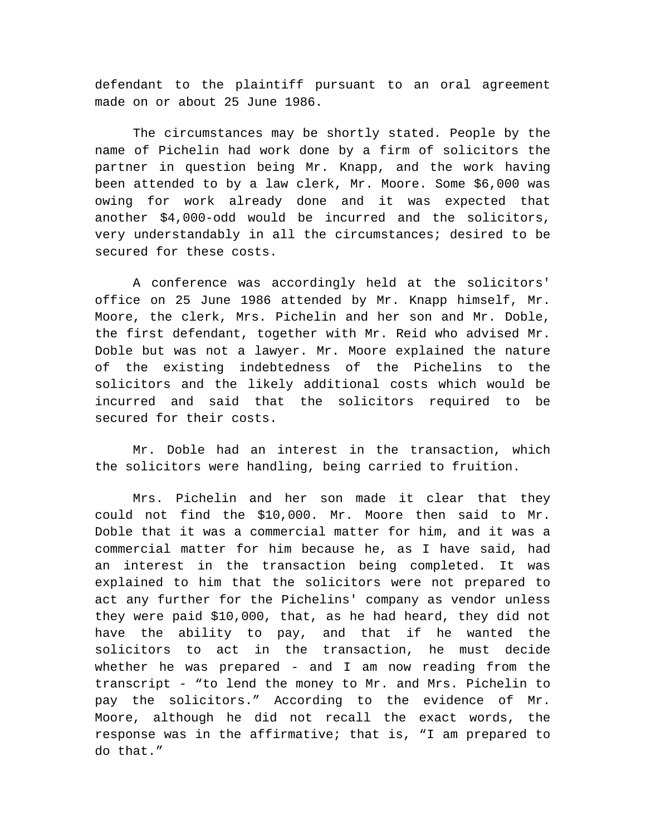defendant to the plaintiff pursuant to an oral agreement made on or about 25 June 1986.

The circumstances may be shortly stated. People by the name of Pichelin had work done by a firm of solicitors the partner in question being Mr. Knapp, and the work having been attended to by a law clerk, Mr. Moore. Some \$6,000 was owing for work already done and it was expected that another \$4,000-odd would be incurred and the solicitors, very understandably in all the circumstances; desired to be secured for these costs.

A conference was accordingly held at the solicitors' office on 25 June 1986 attended by Mr. Knapp himself, Mr. Moore, the clerk, Mrs. Pichelin and her son and Mr. Doble, the first defendant, together with Mr. Reid who advised Mr. Doble but was not a lawyer. Mr. Moore explained the nature of the existing indebtedness of the Pichelins to the solicitors and the likely additional costs which would be incurred and said that the solicitors required to be secured for their costs.

Mr. Doble had an interest in the transaction, which the solicitors were handling, being carried to fruition.

Mrs. Pichelin and her son made it clear that they could not find the \$10,000. Mr. Moore then said to Mr. Doble that it was a commercial matter for him, and it was a commercial matter for him because he, as I have said, had an interest in the transaction being completed. It was explained to him that the solicitors were not prepared to act any further for the Pichelins' company as vendor unless they were paid \$10,000, that, as he had heard, they did not have the ability to pay, and that if he wanted the solicitors to act in the transaction, he must decide whether he was prepared - and I am now reading from the transcript - "to lend the money to Mr. and Mrs. Pichelin to pay the solicitors." According to the evidence of Mr. Moore, although he did not recall the exact words, the response was in the affirmative; that is, "I am prepared to do that."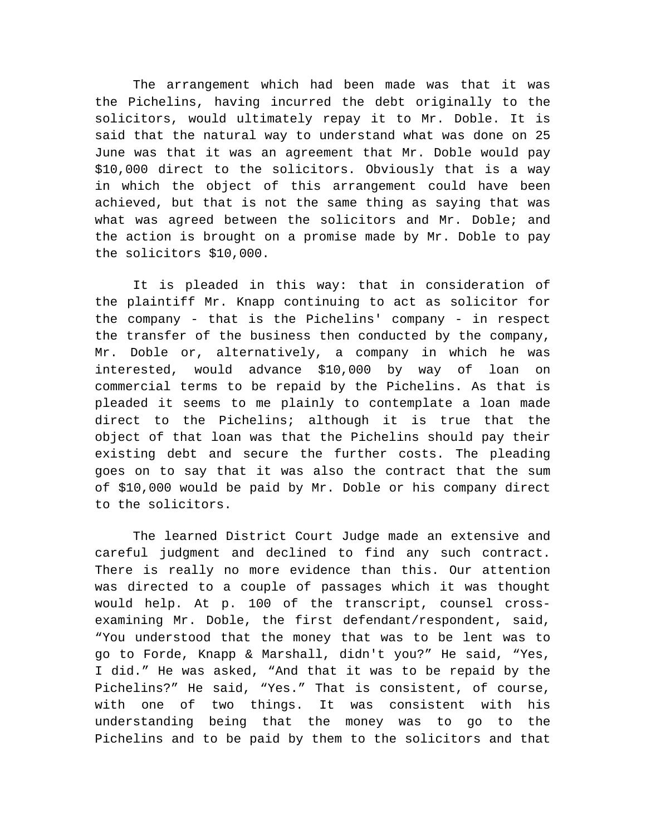The arrangement which had been made was that it was the Pichelins, having incurred the debt originally to the solicitors, would ultimately repay it to Mr. Doble. It is said that the natural way to understand what was done on 25 June was that it was an agreement that Mr. Doble would pay \$10,000 direct to the solicitors. Obviously that is a way in which the object of this arrangement could have been achieved, but that is not the same thing as saying that was what was agreed between the solicitors and Mr. Doble; and the action is brought on a promise made by Mr. Doble to pay the solicitors \$10,000.

It is pleaded in this way: that in consideration of the plaintiff Mr. Knapp continuing to act as solicitor for the company - that is the Pichelins' company - in respect the transfer of the business then conducted by the company, Mr. Doble or, alternatively, a company in which he was interested, would advance \$10,000 by way of loan on commercial terms to be repaid by the Pichelins. As that is pleaded it seems to me plainly to contemplate a loan made direct to the Pichelins; although it is true that the object of that loan was that the Pichelins should pay their existing debt and secure the further costs. The pleading goes on to say that it was also the contract that the sum of \$10,000 would be paid by Mr. Doble or his company direct to the solicitors.

The learned District Court Judge made an extensive and careful judgment and declined to find any such contract. There is really no more evidence than this. Our attention was directed to a couple of passages which it was thought would help. At p. 100 of the transcript, counsel crossexamining Mr. Doble, the first defendant/respondent, said, "You understood that the money that was to be lent was to go to Forde, Knapp & Marshall, didn't you?" He said, "Yes, I did." He was asked, "And that it was to be repaid by the Pichelins?" He said, "Yes." That is consistent, of course, with one of two things. It was consistent with his understanding being that the money was to go to the Pichelins and to be paid by them to the solicitors and that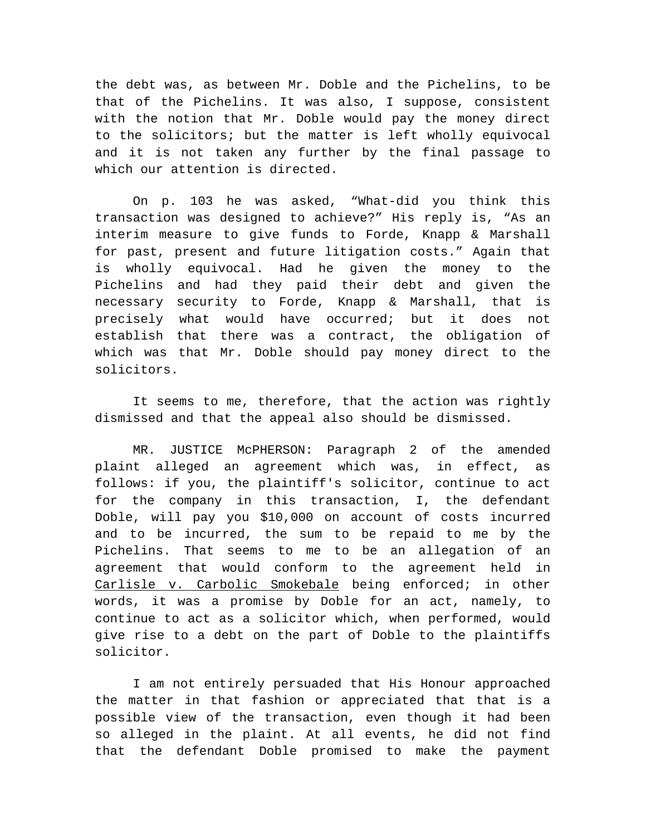the debt was, as between Mr. Doble and the Pichelins, to be that of the Pichelins. It was also, I suppose, consistent with the notion that Mr. Doble would pay the money direct to the solicitors; but the matter is left wholly equivocal and it is not taken any further by the final passage to which our attention is directed.

On p. 103 he was asked, "What-did you think this transaction was designed to achieve?" His reply is, "As an interim measure to give funds to Forde, Knapp & Marshall for past, present and future litigation costs." Again that is wholly equivocal. Had he given the money to the Pichelins and had they paid their debt and given the necessary security to Forde, Knapp & Marshall, that is precisely what would have occurred; but it does not establish that there was a contract, the obligation of which was that Mr. Doble should pay money direct to the solicitors.

It seems to me, therefore, that the action was rightly dismissed and that the appeal also should be dismissed.

MR. JUSTICE McPHERSON: Paragraph 2 of the amended plaint alleged an agreement which was, in effect, as follows: if you, the plaintiff's solicitor, continue to act for the company in this transaction, I, the defendant Doble, will pay you \$10,000 on account of costs incurred and to be incurred, the sum to be repaid to me by the Pichelins. That seems to me to be an allegation of an agreement that would conform to the agreement held in Carlisle v. Carbolic Smokebale being enforced; in other words, it was a promise by Doble for an act, namely, to continue to act as a solicitor which, when performed, would give rise to a debt on the part of Doble to the plaintiffs solicitor.

I am not entirely persuaded that His Honour approached the matter in that fashion or appreciated that that is a possible view of the transaction, even though it had been so alleged in the plaint. At all events, he did not find that the defendant Doble promised to make the payment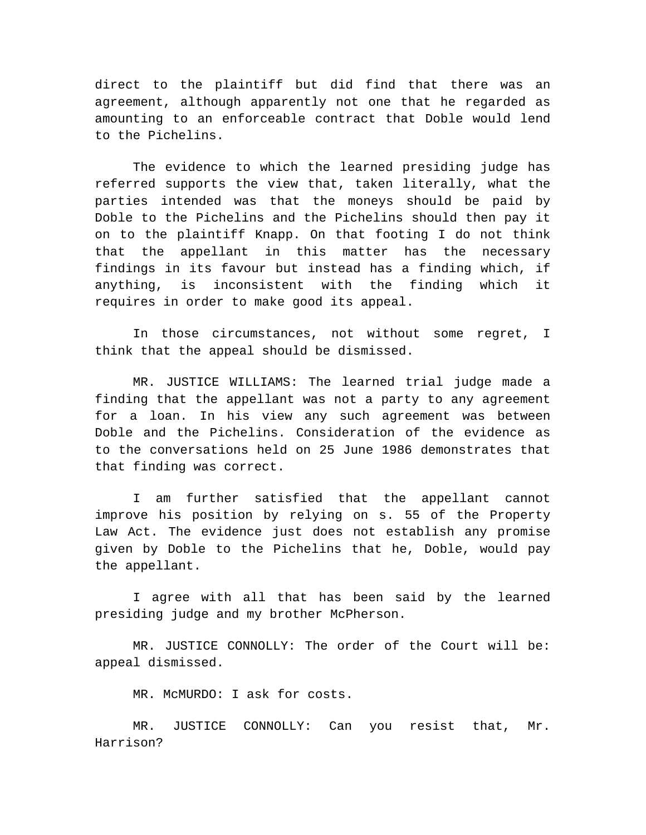direct to the plaintiff but did find that there was an agreement, although apparently not one that he regarded as amounting to an enforceable contract that Doble would lend to the Pichelins.

The evidence to which the learned presiding judge has referred supports the view that, taken literally, what the parties intended was that the moneys should be paid by Doble to the Pichelins and the Pichelins should then pay it on to the plaintiff Knapp. On that footing I do not think that the appellant in this matter has the necessary findings in its favour but instead has a finding which, if anything, is inconsistent with the finding which it requires in order to make good its appeal.

In those circumstances, not without some regret, I think that the appeal should be dismissed.

MR. JUSTICE WILLIAMS: The learned trial judge made a finding that the appellant was not a party to any agreement for a loan. In his view any such agreement was between Doble and the Pichelins. Consideration of the evidence as to the conversations held on 25 June 1986 demonstrates that that finding was correct.

I am further satisfied that the appellant cannot improve his position by relying on s. 55 of the Property Law Act. The evidence just does not establish any promise given by Doble to the Pichelins that he, Doble, would pay the appellant.

I agree with all that has been said by the learned presiding judge and my brother McPherson.

MR. JUSTICE CONNOLLY: The order of the Court will be: appeal dismissed.

MR. McMURDO: I ask for costs.

MR. JUSTICE CONNOLLY: Can you resist that, Mr. Harrison?